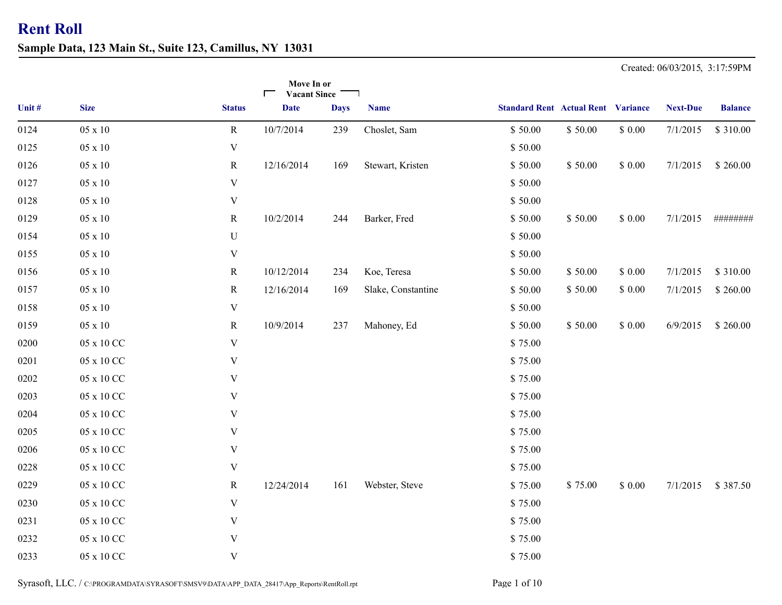**Sample Data, 123 Main St., Suite 123, Camillus, NY 13031**

Created: 06/03/2015, 3:17:59PM

|        |                |                           | Move In or<br><b>Vacant Since</b><br>$\blacksquare$ |             |                    |                                           |         |             |                 |                |
|--------|----------------|---------------------------|-----------------------------------------------------|-------------|--------------------|-------------------------------------------|---------|-------------|-----------------|----------------|
| Unit # | <b>Size</b>    | <b>Status</b>             | <b>Date</b>                                         | <b>Days</b> | <b>Name</b>        | <b>Standard Rent Actual Rent Variance</b> |         |             | <b>Next-Due</b> | <b>Balance</b> |
| 0124   | $05 \ge 10$    | $\mathbf R$               | 10/7/2014                                           | 239         | Choslet, Sam       | \$50.00                                   | \$50.00 | \$0.00      | 7/1/2015        | \$310.00       |
| 0125   | $05 \times 10$ | $\mathbf V$               |                                                     |             |                    | \$50.00                                   |         |             |                 |                |
| 0126   | $05 \times 10$ | $\mathbf R$               | 12/16/2014                                          | 169         | Stewart, Kristen   | \$50.00                                   | \$50.00 | \$0.00      | 7/1/2015        | \$260.00       |
| 0127   | $05 \times 10$ | $\mathbf V$               |                                                     |             |                    | \$50.00                                   |         |             |                 |                |
| 0128   | 05 x 10        | $\mathbf V$               |                                                     |             |                    | \$50.00                                   |         |             |                 |                |
| 0129   | 05 x 10        | $\mathbf R$               | 10/2/2014                                           | 244         | Barker, Fred       | \$50.00                                   | \$50.00 | \$0.00      | 7/1/2015        | ########       |
| 0154   | $05 \times 10$ | ${\bf U}$                 |                                                     |             |                    | \$50.00                                   |         |             |                 |                |
| 0155   | $05 \times 10$ | $\mathbf V$               |                                                     |             |                    | \$50.00                                   |         |             |                 |                |
| 0156   | $05 \times 10$ | $\mathbf{R}$              | 10/12/2014                                          | 234         | Koe, Teresa        | \$50.00                                   | \$50.00 | \$0.00      | 7/1/2015        | \$310.00       |
| 0157   | $05 \times 10$ | $\mathbf R$               | 12/16/2014                                          | 169         | Slake, Constantine | \$50.00                                   | \$50.00 | \$0.00      | 7/1/2015        | \$260.00       |
| 0158   | 05 x 10        | V                         |                                                     |             |                    | \$50.00                                   |         |             |                 |                |
| 0159   | $05 \times 10$ | $\mathbf R$               | 10/9/2014                                           | 237         | Mahoney, Ed        | \$50.00                                   | \$50.00 | $\$$ $0.00$ | 6/9/2015        | \$260.00       |
| 0200   | 05 x 10 CC     | $\ensuremath{\mathbf{V}}$ |                                                     |             |                    | \$75.00                                   |         |             |                 |                |
| 0201   | 05 x 10 CC     | V                         |                                                     |             |                    | \$75.00                                   |         |             |                 |                |
| 0202   | 05 x 10 CC     | $\mathbf V$               |                                                     |             |                    | \$75.00                                   |         |             |                 |                |
| 0203   | 05 x 10 CC     | $\mathbf V$               |                                                     |             |                    | \$75.00                                   |         |             |                 |                |
| 0204   | 05 x 10 CC     | V                         |                                                     |             |                    | \$75.00                                   |         |             |                 |                |
| 0205   | 05 x 10 CC     | $\mathbf V$               |                                                     |             |                    | \$75.00                                   |         |             |                 |                |
| 0206   | 05 x 10 CC     | V                         |                                                     |             |                    | \$75.00                                   |         |             |                 |                |
| 0228   | 05 x 10 CC     | $\mathbf V$               |                                                     |             |                    | \$75.00                                   |         |             |                 |                |
| 0229   | 05 x 10 CC     | $\mathbf R$               | 12/24/2014                                          | 161         | Webster, Steve     | \$75.00                                   | \$75.00 | \$0.00      | 7/1/2015        | \$387.50       |
| 0230   | 05 x 10 CC     | $\mathbf V$               |                                                     |             |                    | \$75.00                                   |         |             |                 |                |
| 0231   | 05 x 10 CC     | $\mathbf V$               |                                                     |             |                    | \$75.00                                   |         |             |                 |                |
| 0232   | 05 x 10 CC     | $\mathbf V$               |                                                     |             |                    | \$75.00                                   |         |             |                 |                |
| 0233   | 05 x 10 CC     | V                         |                                                     |             |                    | \$75.00                                   |         |             |                 |                |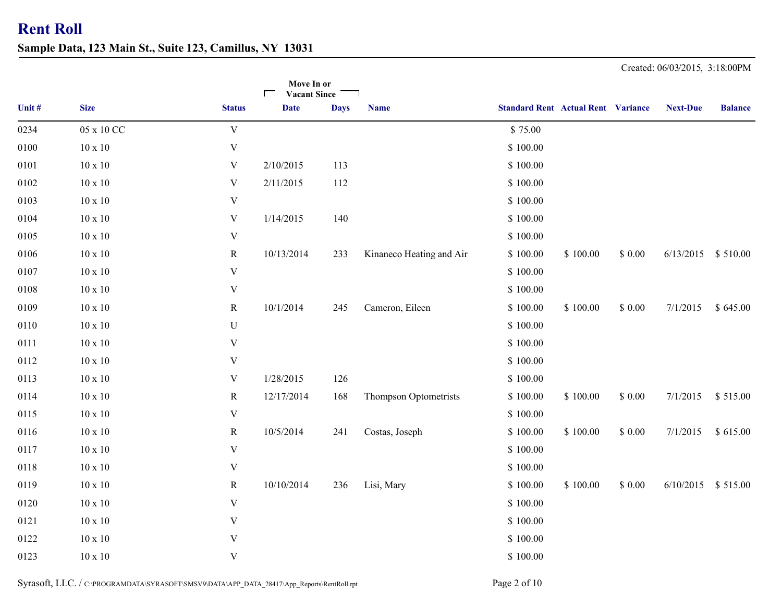**Sample Data, 123 Main St., Suite 123, Camillus, NY 13031**

|        |                |                           | Move In or<br><b>Vacant Since</b><br>┍ |             |                          |                                           |          |        |                    |                |
|--------|----------------|---------------------------|----------------------------------------|-------------|--------------------------|-------------------------------------------|----------|--------|--------------------|----------------|
| Unit # | <b>Size</b>    | <b>Status</b>             | <b>Date</b>                            | <b>Days</b> | <b>Name</b>              | <b>Standard Rent Actual Rent Variance</b> |          |        | <b>Next-Due</b>    | <b>Balance</b> |
| 0234   | 05 x 10 CC     | $\mathbf V$               |                                        |             |                          | \$75.00                                   |          |        |                    |                |
| 0100   | $10 \ge 10$    | $\mathbf V$               |                                        |             |                          | \$100.00                                  |          |        |                    |                |
| 0101   | $10 \times 10$ | $\mathbf V$               | 2/10/2015                              | 113         |                          | \$100.00                                  |          |        |                    |                |
| 0102   | $10 \times 10$ | $\mathbf V$               | 2/11/2015                              | 112         |                          | \$100.00                                  |          |        |                    |                |
| 0103   | $10 \ge 10$    | $\ensuremath{\mathbf{V}}$ |                                        |             |                          | \$100.00                                  |          |        |                    |                |
| 0104   | $10\ge10$      | $\mathbf V$               | 1/14/2015                              | 140         |                          | \$100.00                                  |          |        |                    |                |
| 0105   | $10\ge10$      | $\ensuremath{\mathbf{V}}$ |                                        |             |                          | \$100.00                                  |          |        |                    |                |
| 0106   | $10 \ge 10$    | ${\bf R}$                 | 10/13/2014                             | 233         | Kinaneco Heating and Air | \$100.00                                  | \$100.00 | \$0.00 | 6/13/2015          | \$510.00       |
| 0107   | $10 \ge 10$    | $\mathbf V$               |                                        |             |                          | \$100.00                                  |          |        |                    |                |
| 0108   | $10 \ge 10$    | $\mathbf V$               |                                        |             |                          | \$100.00                                  |          |        |                    |                |
| 0109   | $10 \ge 10$    | $\mathbf R$               | 10/1/2014                              | 245         | Cameron, Eileen          | \$100.00                                  | \$100.00 | \$0.00 | 7/1/2015           | \$645.00       |
| 0110   | $10 \ge 10$    | ${\bf U}$                 |                                        |             |                          | \$100.00                                  |          |        |                    |                |
| 0111   | $10\ge10$      | $\mathbf V$               |                                        |             |                          | \$100.00                                  |          |        |                    |                |
| 0112   | $10\ge10$      | $\mathbf V$               |                                        |             |                          | \$100.00                                  |          |        |                    |                |
| 0113   | $10 \ge 10$    | $\mathbf V$               | 1/28/2015                              | 126         |                          | \$100.00                                  |          |        |                    |                |
| 0114   | $10\ge10$      | ${\bf R}$                 | 12/17/2014                             | 168         | Thompson Optometrists    | \$100.00                                  | \$100.00 | \$0.00 | 7/1/2015           | \$515.00       |
| 0115   | $10\ge10$      | $\mathbf V$               |                                        |             |                          | \$100.00                                  |          |        |                    |                |
| 0116   | $10\ge10$      | ${\bf R}$                 | 10/5/2014                              | 241         | Costas, Joseph           | \$100.00                                  | \$100.00 | \$0.00 | 7/1/2015           | \$615.00       |
| 0117   | $10 \ge 10$    | $\mathbf V$               |                                        |             |                          | \$100.00                                  |          |        |                    |                |
| 0118   | $10\ge10$      | $\mathbf V$               |                                        |             |                          | \$100.00                                  |          |        |                    |                |
| 0119   | $10\ge10$      | ${\bf R}$                 | 10/10/2014                             | 236         | Lisi, Mary               | \$100.00                                  | \$100.00 | \$0.00 | 6/10/2015 \$515.00 |                |
| 0120   | $10 \ge 10$    | $\mathbf V$               |                                        |             |                          | \$100.00                                  |          |        |                    |                |
| 0121   | $10 \ge 10$    | $\mathbf V$               |                                        |             |                          | \$100.00                                  |          |        |                    |                |
| 0122   | $10 \ge 10$    | $\mathbf V$               |                                        |             |                          | \$100.00                                  |          |        |                    |                |
| 0123   | $10\ge10$      | $\mathbf V$               |                                        |             |                          | \$100.00                                  |          |        |                    |                |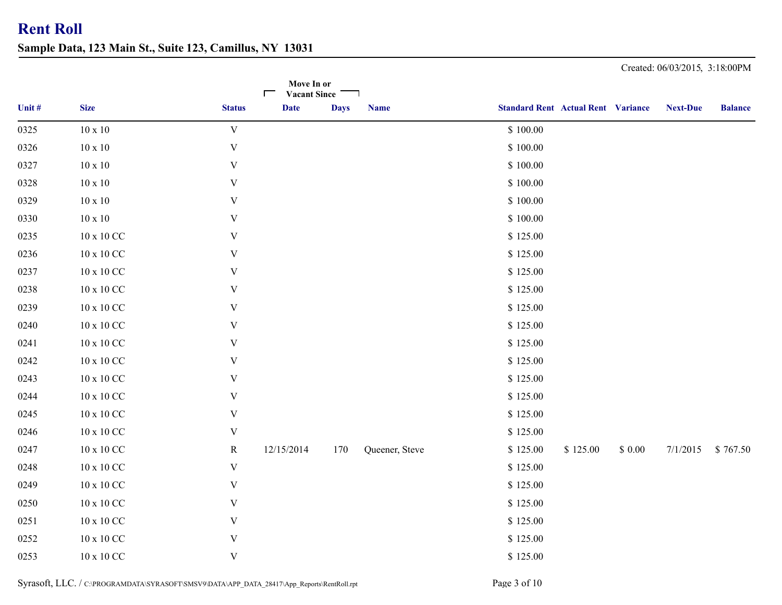**Sample Data, 123 Main St., Suite 123, Camillus, NY 13031**

|        |                     |                           | Move In or<br><b>Vacant Since</b><br>$\Box$ |             |                |                                           |          |        |                 |                |
|--------|---------------------|---------------------------|---------------------------------------------|-------------|----------------|-------------------------------------------|----------|--------|-----------------|----------------|
| Unit # | <b>Size</b>         | <b>Status</b>             | <b>Date</b>                                 | <b>Days</b> | <b>Name</b>    | <b>Standard Rent Actual Rent Variance</b> |          |        | <b>Next-Due</b> | <b>Balance</b> |
| 0325   | $10 \times 10$      | $\mathbf V$               |                                             |             |                | \$100.00                                  |          |        |                 |                |
| 0326   | $10 \ge 10$         | $\ensuremath{\mathbf{V}}$ |                                             |             |                | \$100.00                                  |          |        |                 |                |
| 0327   | $10\ge10$           | V                         |                                             |             |                | \$100.00                                  |          |        |                 |                |
| 0328   | $10\ge10$           | V                         |                                             |             |                | \$100.00                                  |          |        |                 |                |
| 0329   | $10\ge10$           | V                         |                                             |             |                | \$100.00                                  |          |        |                 |                |
| 0330   | $10\ge10$           | V                         |                                             |             |                | \$100.00                                  |          |        |                 |                |
| 0235   | $10$ x $10$ CC $\,$ | V                         |                                             |             |                | \$125.00                                  |          |        |                 |                |
| 0236   | $10$ x $10$ CC $\,$ | V                         |                                             |             |                | \$125.00                                  |          |        |                 |                |
| 0237   | $10$ x $10$ CC $\,$ | $\ensuremath{\mathbf{V}}$ |                                             |             |                | \$125.00                                  |          |        |                 |                |
| 0238   | $10$ x $10$ CC $\,$ | $\ensuremath{\mathbf{V}}$ |                                             |             |                | \$125.00                                  |          |        |                 |                |
| 0239   | $10$ x $10$ CC $\,$ | V                         |                                             |             |                | \$125.00                                  |          |        |                 |                |
| 0240   | $10$ x $10$ CC $\,$ | V                         |                                             |             |                | \$125.00                                  |          |        |                 |                |
| 0241   | $10$ x $10$ CC $\,$ | V                         |                                             |             |                | \$125.00                                  |          |        |                 |                |
| 0242   | $10$ x $10$ CC $\,$ | $\ensuremath{\mathbf{V}}$ |                                             |             |                | \$125.00                                  |          |        |                 |                |
| 0243   | $10$ x $10$ CC $\,$ | V                         |                                             |             |                | \$125.00                                  |          |        |                 |                |
| 0244   | $10$ x $10$ CC $\,$ | V                         |                                             |             |                | \$125.00                                  |          |        |                 |                |
| 0245   | $10$ x $10$ CC $\,$ | V                         |                                             |             |                | \$125.00                                  |          |        |                 |                |
| 0246   | $10$ x $10$ CC $\,$ | V                         |                                             |             |                | \$125.00                                  |          |        |                 |                |
| 0247   | $10$ x $10$ CC $\,$ | $\mathbf R$               | 12/15/2014                                  | 170         | Queener, Steve | \$125.00                                  | \$125.00 | \$0.00 | 7/1/2015        | \$767.50       |
| 0248   | $10$ x $10$ CC $\,$ | $\ensuremath{\mathbf{V}}$ |                                             |             |                | \$125.00                                  |          |        |                 |                |
| 0249   | $10$ x $10$ CC $\,$ | V                         |                                             |             |                | \$125.00                                  |          |        |                 |                |
| 0250   | $10$ x $10$ CC $\,$ | V                         |                                             |             |                | \$125.00                                  |          |        |                 |                |
| 0251   | $10$ x $10$ CC $\,$ | V                         |                                             |             |                | \$125.00                                  |          |        |                 |                |
| 0252   | $10 \ge 10$ CC $\,$ | V                         |                                             |             |                | \$125.00                                  |          |        |                 |                |
| 0253   | $10$ x $10$ CC $\,$ | V                         |                                             |             |                | \$125.00                                  |          |        |                 |                |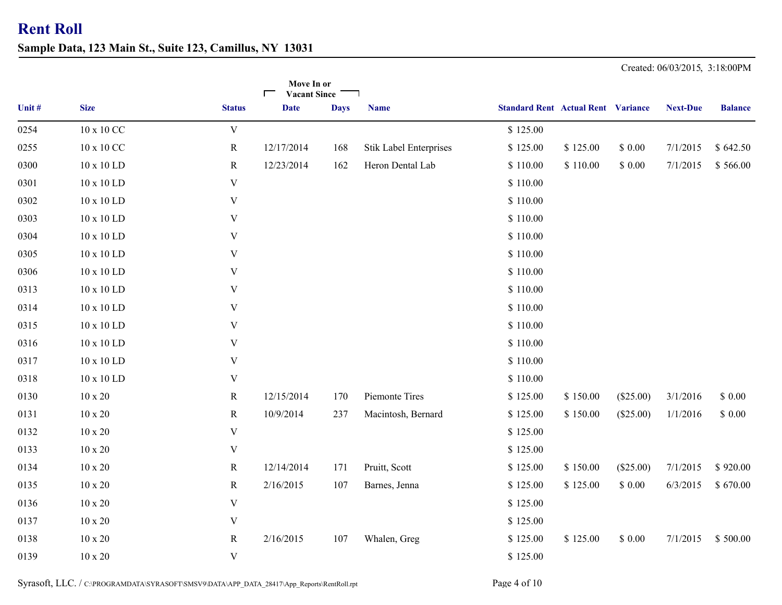**Sample Data, 123 Main St., Suite 123, Camillus, NY 13031**

**Move In or** $\blacksquare$ **Vacant SinceComputer 1 Constructed Constructed Constructed Constructed Constructed Constructed Constructed Constructed Constructed Constructed Constructed Constructed Constructed Constructed Construction Construction Construction Con** 0254 10 x 10 CC V W S 125.00 0255 10 x 10 CC R 12/17/2014 168 Stik Label Enterprises \$ 125.00 \$ 0.00 7/1/2015 \$ 642.50 0300 10 x 10 LD R 12/23/2014 162 Heron Dental Lab \$ 110.00 \$ 110.00 \$ 0.00 7/1/2015 \$ 566.00 0301 10 x 10 LD V  $\sim$  \$ 110.00 0302 10 x 10 LD V  $\frac{1}{3}$  110.00 0303 10 x 10 LD V  $\qquad \qquad V$  \$ 110.00 0304 10 x 10 LD V  $\sim$  \$ 110.00 0305 10 x 10 LD V  $\qquad \qquad V$  \$ 110.00 0306 10 x 10 LD V  $\sim$  \$ 110.00 0313 10.00 10 x 10 LD V 0314 10 x 10 LD V  $\frac{1}{2}$  110.00 0315 10 x 10 LD V  $\qquad \qquad V$  \$ 110.00 0316 10 x 10 LD V  $\qquad \qquad V$  \$ 110.00 0317 10 x 10 LD V  $\qquad \qquad V$  \$ 110.00 0318 10 x 10 LD V \$ 110.00 0130 10 x 20 R 12/15/2014 170 Piemonte Tires \$ 125.00 \$ 150.00 (\$25.00) 3/1/2016 \$ 0.00 0131 10 x 20 R 10/9/2014 237 Macintosh, Bernard \$ 125.00 \$ 150.00 (\$25.00) 1/1/2016 \$ 0.00 0132 10 x 20 V  $\sqrt{3}$  125.00 0133 10 x 20 V  $\sqrt{}$  \$ 125.00 0134 10 x 20 R 12/14/2014 171 Pruitt, Scott \$ 125.00 \$ 150.00 (\$25.00) 7/1/2015 \$ 920.00 0135 10 x 20 R 2/16/2015 107 Barnes, Jenna \$ 125.00 \$ 125.00 \$ 0.00 6/3/2015 \$ 670.00 0136 10 x 20 V  $\sqrt{}$  \$ 125.00 0137 10 x 20 V  $\sqrt{3}$  125.00 0138 10 x 20 R 107 Whalen, Greg \$ 125.00 \$ 0.00 7/1/2015 \$ 500.00 2/16/2015 \$ 125.00 0139 10 x 20 V  $\sqrt{}$  \$ 125.00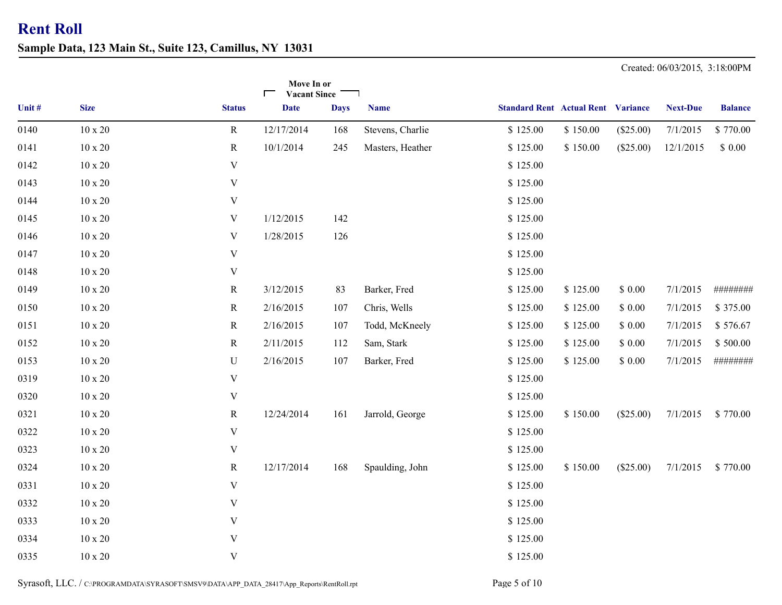**Sample Data, 123 Main St., Suite 123, Camillus, NY 13031**

**Move In or** $\blacksquare$ **Vacant SinceComputer 1 Constructed Constructed Constructed Constructed Constructed Constructed Constructed Constructed Constructed Constructed Constructed Constructed Constructed Constructed Construction Construction Construction Con** 0140 10 x 20 R 12/17/2014 168 Stevens, Charlie \$ 125.00 \$ 150.00 (\$25.00) 7/1/2015 \$ 770.00 0141 10 x 20 R 10/1/2014 245 Masters, Heather \$ 125.00 \$ 150.00 (\$25.00) 12/1/2015 \$ 0.00 0142 10 x 20 V  $\sqrt{3}$  125.00 0143 10 x 20 V  $\sqrt{3}$  125.00 0144 10 x 20 V  $\sqrt{3}$  125.00 0145 10 x 20 V  $1/12/2015$  142 S 125.00 0146 10 x 20 V  $1/28/2015$  126 S 125.00 0147 10 x 20 V  $\sqrt{3}$  125.00 0148 10 x 20 V  $\sqrt{}$  \$ 125.00 0149 10 x 20 R 83 Barker, Fred \$ 125.00 \$ 0.00 7/1/2015 ######## 3/12/2015 \$ 125.00 0150 10 x 20 R 107 Chris, Wells \$ 125.00 \$ 0.00 7/1/2015 \$ 375.00 2/16/2015 \$ 125.00 0151 10 x 20 R 107 Todd, McKneely \$ 125.00 \$ 2/16/2015 \$ 125.00 0.00 7/1/2015 \$ 576.67 0152 10 x 20 R 2/11/2015 112 Sam, Stark \$ 125.00 \$ 0.00 7/1/2015 \$ 500.00 0153 10 x 20 U 2/16/2015 107 Barker, Fred \$ 125.00 \$ 125.00 \$ 0.00 7/1/2015 ######## 0319 10 x 20 V  $\sqrt{3}$  125.00 0320 10 x 20 V  $\sqrt{3}$  125.00 0321 10 x 20 R 12/24/2014 161 Jarrold, George \$ 125.00 \$ 150.00 (\$25.00) 7/1/2015 \$ 770.00 0322 10 x 20 V  $\sqrt{3}$  125.00 0323 10 x 20 V  $\sqrt{3}$  125.00 0324 10 x 20 R 12/17/2014 168 Spaulding, John \$ 125.00 \$ 150.00 (\$25.00) 7/1/2015 \$ 770.00 0331 10 x 20 V  $\sqrt{331}$  5 125.00 0332 10 x 20 V  $\sqrt{332}$  125.00 0333 10 x 20 V  $\sqrt{333}$  125.00 0334 10 x 20 V  $\sqrt{3334}$  5 125.00 0335 10 x 20 V  $\sqrt{335}$  125.00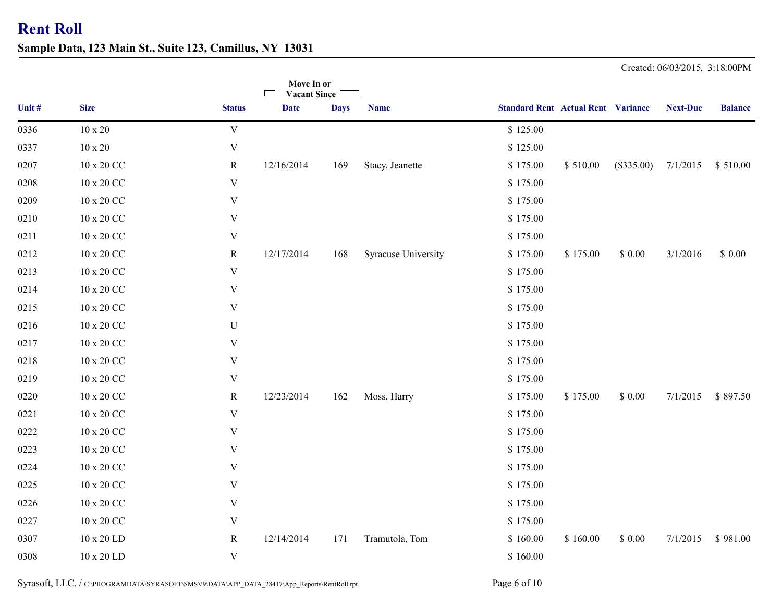**Sample Data, 123 Main St., Suite 123, Camillus, NY 13031**

|        |                      |                           | Move In or<br><b>Vacant Since</b><br>$\Box$ |             |                     |                                           |          |              |                 |                |
|--------|----------------------|---------------------------|---------------------------------------------|-------------|---------------------|-------------------------------------------|----------|--------------|-----------------|----------------|
| Unit # | <b>Size</b>          | <b>Status</b>             | <b>Date</b>                                 | <b>Days</b> | <b>Name</b>         | <b>Standard Rent Actual Rent Variance</b> |          |              | <b>Next-Due</b> | <b>Balance</b> |
| 0336   | $10 \ge 20$          | $\ensuremath{\mathbf{V}}$ |                                             |             |                     | \$125.00                                  |          |              |                 |                |
| 0337   | $10 \ge 20$          | $\ensuremath{\mathbf{V}}$ |                                             |             |                     | \$125.00                                  |          |              |                 |                |
| 0207   | 10 x 20 CC           | $\mathbf R$               | 12/16/2014                                  | 169         | Stacy, Jeanette     | \$175.00                                  | \$510.00 | $(\$335.00)$ | 7/1/2015        | \$510.00       |
| 0208   | $10$ x $20$ CC $\,$  | $\mathbf V$               |                                             |             |                     | \$175.00                                  |          |              |                 |                |
| 0209   | $10$ x $20$ CC $\,$  | $\mathbf V$               |                                             |             |                     | \$175.00                                  |          |              |                 |                |
| 0210   | $10$ x $20$ $\rm CC$ | $\mathbf V$               |                                             |             |                     | \$175.00                                  |          |              |                 |                |
| 0211   | $10$ x $20$ CC $\,$  | V                         |                                             |             |                     | \$175.00                                  |          |              |                 |                |
| 0212   | 10 x 20 CC           | $\mathbf R$               | 12/17/2014                                  | 168         | Syracuse University | \$175.00                                  | \$175.00 | \$0.00       | 3/1/2016        | \$0.00         |
| 0213   | $10$ x $20$ $\rm CC$ | $\ensuremath{\mathbf{V}}$ |                                             |             |                     | \$175.00                                  |          |              |                 |                |
| 0214   | $10$ x $20$ $\rm CC$ | V                         |                                             |             |                     | \$175.00                                  |          |              |                 |                |
| 0215   | $10 \times 20$ CC    | V                         |                                             |             |                     | \$175.00                                  |          |              |                 |                |
| 0216   | $10$ x $20$ $\rm CC$ | ${\bf U}$                 |                                             |             |                     | \$175.00                                  |          |              |                 |                |
| 0217   | $10$ x $20$ $\rm CC$ | $\mathbf V$               |                                             |             |                     | \$175.00                                  |          |              |                 |                |
| 0218   | $10$ x $20$ $\rm CC$ | V                         |                                             |             |                     | \$175.00                                  |          |              |                 |                |
| 0219   | 10 x 20 CC           | $\mathbf V$               |                                             |             |                     | \$175.00                                  |          |              |                 |                |
| 0220   | $10$ x $20$ CC $\,$  | $\mathbf R$               | 12/23/2014                                  | 162         | Moss, Harry         | \$175.00                                  | \$175.00 | \$0.00       | 7/1/2015        | \$897.50       |
| 0221   | $10$ x $20$ $\rm CC$ | $\ensuremath{\mathbf{V}}$ |                                             |             |                     | \$175.00                                  |          |              |                 |                |
| 0222   | $10$ x $20$ CC $\,$  | $\mathbf V$               |                                             |             |                     | \$175.00                                  |          |              |                 |                |
| 0223   | 10 x 20 CC           | $\mathbf V$               |                                             |             |                     | \$175.00                                  |          |              |                 |                |
| 0224   | $10 \times 20$ CC    | $\mathbf V$               |                                             |             |                     | \$175.00                                  |          |              |                 |                |
| 0225   | $10$ x $20$ CC $\,$  | $\mathbf V$               |                                             |             |                     | \$175.00                                  |          |              |                 |                |
| 0226   | $10$ x $20$ CC $\,$  | $\mathbf V$               |                                             |             |                     | \$175.00                                  |          |              |                 |                |
| 0227   | $10$ x $20$ $\rm CC$ | $\mathbf V$               |                                             |             |                     | \$175.00                                  |          |              |                 |                |
| 0307   | $10 \times 20$ LD    | R                         | 12/14/2014                                  | 171         | Tramutola, Tom      | \$160.00                                  | \$160.00 | \$0.00       | 7/1/2015        | \$981.00       |
| 0308   | 10 x 20 LD           | $\ensuremath{\mathbf{V}}$ |                                             |             |                     | \$160.00                                  |          |              |                 |                |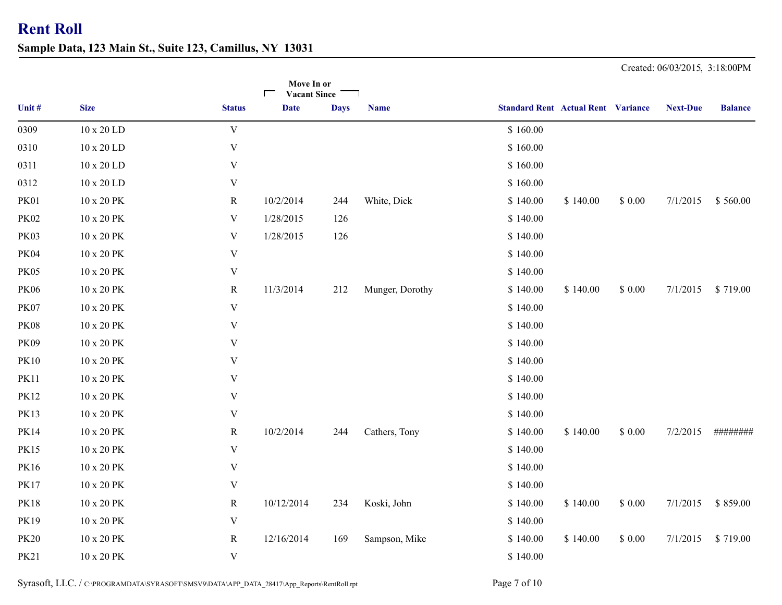**Sample Data, 123 Main St., Suite 123, Camillus, NY 13031**

|             |                   |                           | Move In or<br><b>Vacant Since</b><br>┍ |             |                 |                                           |          |        |                 |                |
|-------------|-------------------|---------------------------|----------------------------------------|-------------|-----------------|-------------------------------------------|----------|--------|-----------------|----------------|
| Unit #      | <b>Size</b>       | <b>Status</b>             | <b>Date</b>                            | <b>Days</b> | <b>Name</b>     | <b>Standard Rent Actual Rent Variance</b> |          |        | <b>Next-Due</b> | <b>Balance</b> |
| 0309        | 10 x 20 LD        | $\ensuremath{\text{V}}$   |                                        |             |                 | \$160.00                                  |          |        |                 |                |
| 0310        | 10 x 20 LD        | $\mathbf V$               |                                        |             |                 | \$160.00                                  |          |        |                 |                |
| 0311        | $10 \times 20$ LD | V                         |                                        |             |                 | \$160.00                                  |          |        |                 |                |
| 0312        | 10 x 20 LD        | $\mathbf V$               |                                        |             |                 | \$160.00                                  |          |        |                 |                |
| <b>PK01</b> | 10 x 20 PK        | $\mathbf R$               | 10/2/2014                              | 244         | White, Dick     | \$140.00                                  | \$140.00 | \$0.00 | 7/1/2015        | \$560.00       |
| <b>PK02</b> | 10 x 20 PK        | V                         | 1/28/2015                              | 126         |                 | \$140.00                                  |          |        |                 |                |
| <b>PK03</b> | 10 x 20 PK        | V                         | 1/28/2015                              | 126         |                 | \$140.00                                  |          |        |                 |                |
| <b>PK04</b> | 10 x 20 PK        | $\ensuremath{\text{V}}$   |                                        |             |                 | \$140.00                                  |          |        |                 |                |
| <b>PK05</b> | 10 x 20 PK        | V                         |                                        |             |                 | \$140.00                                  |          |        |                 |                |
| <b>PK06</b> | 10 x 20 PK        | $\mathbf R$               | 11/3/2014                              | 212         | Munger, Dorothy | \$140.00                                  | \$140.00 | \$0.00 | 7/1/2015        | \$719.00       |
| <b>PK07</b> | 10 x 20 PK        | $\mathbf V$               |                                        |             |                 | \$140.00                                  |          |        |                 |                |
| <b>PK08</b> | 10 x 20 PK        | $\mathbf V$               |                                        |             |                 | \$140.00                                  |          |        |                 |                |
| <b>PK09</b> | 10 x 20 PK        | V                         |                                        |             |                 | \$140.00                                  |          |        |                 |                |
| <b>PK10</b> | 10 x 20 PK        | V                         |                                        |             |                 | \$140.00                                  |          |        |                 |                |
| <b>PK11</b> | 10 x 20 PK        | $\mathbf V$               |                                        |             |                 | \$140.00                                  |          |        |                 |                |
| <b>PK12</b> | 10 x 20 PK        | V                         |                                        |             |                 | \$140.00                                  |          |        |                 |                |
| <b>PK13</b> | 10 x 20 PK        | $\ensuremath{\mathsf{V}}$ |                                        |             |                 | \$140.00                                  |          |        |                 |                |
| <b>PK14</b> | 10 x 20 PK        | $\mathbf R$               | 10/2/2014                              | 244         | Cathers, Tony   | \$140.00                                  | \$140.00 | \$0.00 | 7/2/2015        | ########       |
| <b>PK15</b> | 10 x 20 PK        | $\mathbf V$               |                                        |             |                 | \$140.00                                  |          |        |                 |                |
| PK16        | 10 x 20 PK        | V                         |                                        |             |                 | \$140.00                                  |          |        |                 |                |
| <b>PK17</b> | 10 x 20 PK        | V                         |                                        |             |                 | \$140.00                                  |          |        |                 |                |
| <b>PK18</b> | 10 x 20 PK        | R                         | 10/12/2014                             | 234         | Koski, John     | \$140.00                                  | \$140.00 | \$0.00 | 7/1/2015        | \$859.00       |
| <b>PK19</b> | 10 x 20 PK        | $\mathbf V$               |                                        |             |                 | \$140.00                                  |          |        |                 |                |
| <b>PK20</b> | 10 x 20 PK        | R                         | 12/16/2014                             | 169         | Sampson, Mike   | \$140.00                                  | \$140.00 | \$0.00 | 7/1/2015        | \$719.00       |
| <b>PK21</b> | 10 x 20 PK        | $\mathbf V$               |                                        |             |                 | \$140.00                                  |          |        |                 |                |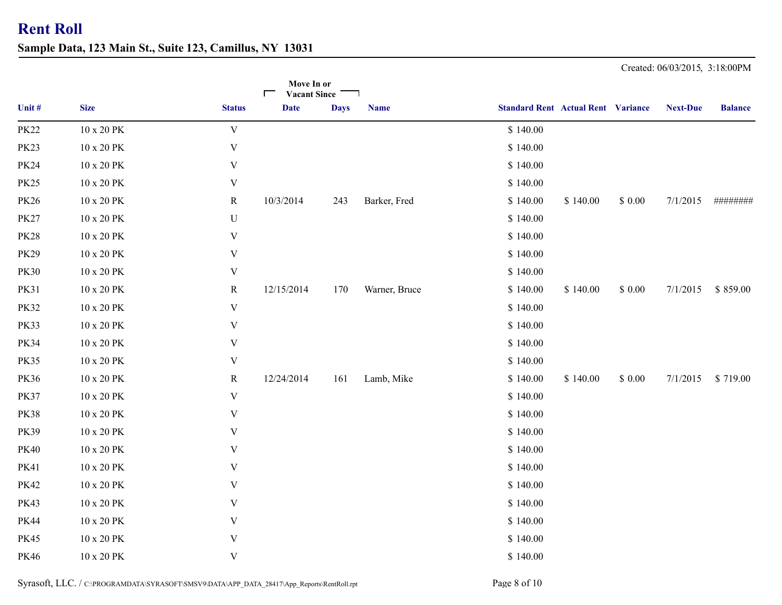**Sample Data, 123 Main St., Suite 123, Camillus, NY 13031**

|             |                      |               | Move In or<br><b>Vacant Since</b><br>┍ |             |               |                                           |          |        |                 |                |
|-------------|----------------------|---------------|----------------------------------------|-------------|---------------|-------------------------------------------|----------|--------|-----------------|----------------|
| Unit #      | <b>Size</b>          | <b>Status</b> | <b>Date</b>                            | <b>Days</b> | <b>Name</b>   | <b>Standard Rent Actual Rent Variance</b> |          |        | <b>Next-Due</b> | <b>Balance</b> |
| <b>PK22</b> | 10 x 20 PK           | $\mathbf V$   |                                        |             |               | \$140.00                                  |          |        |                 |                |
| <b>PK23</b> | 10 x 20 PK           | $\mathbf V$   |                                        |             |               | \$140.00                                  |          |        |                 |                |
| <b>PK24</b> | 10 x 20 PK           | $\mathbf V$   |                                        |             |               | \$140.00                                  |          |        |                 |                |
| <b>PK25</b> | 10 x 20 PK           | $\mathbf V$   |                                        |             |               | \$140.00                                  |          |        |                 |                |
| <b>PK26</b> | 10 x 20 PK           | $\mathbf R$   | 10/3/2014                              | 243         | Barker, Fred  | \$140.00                                  | \$140.00 | \$0.00 | 7/1/2015        | ########       |
| <b>PK27</b> | 10 x 20 PK           | $\mathbf U$   |                                        |             |               | \$140.00                                  |          |        |                 |                |
| <b>PK28</b> | 10 x 20 PK           | $\mathbf V$   |                                        |             |               | \$140.00                                  |          |        |                 |                |
| <b>PK29</b> | 10 x 20 PK           | $\mathbf V$   |                                        |             |               | \$140.00                                  |          |        |                 |                |
| <b>PK30</b> | 10 x 20 PK           | $\mathbf V$   |                                        |             |               | \$140.00                                  |          |        |                 |                |
| <b>PK31</b> | 10 x 20 PK           | $\mathbf R$   | 12/15/2014                             | 170         | Warner, Bruce | \$140.00                                  | \$140.00 | \$0.00 | 7/1/2015        | \$859.00       |
| <b>PK32</b> | 10 x 20 PK           | $\mathbf V$   |                                        |             |               | \$140.00                                  |          |        |                 |                |
| <b>PK33</b> | 10 x 20 PK           | $\mathbf V$   |                                        |             |               | \$140.00                                  |          |        |                 |                |
| <b>PK34</b> | 10 x 20 PK           | $\mathbf V$   |                                        |             |               | \$140.00                                  |          |        |                 |                |
| <b>PK35</b> | 10 x 20 PK           | $\mathbf V$   |                                        |             |               | \$140.00                                  |          |        |                 |                |
| <b>PK36</b> | 10 x 20 PK           | R             | 12/24/2014                             | 161         | Lamb, Mike    | \$140.00                                  | \$140.00 | \$0.00 | 7/1/2015        | \$719.00       |
| <b>PK37</b> | 10 x 20 PK           | $\mathbf V$   |                                        |             |               | \$140.00                                  |          |        |                 |                |
| <b>PK38</b> | $10$ x $20$ $\rm PK$ | $\mathbf V$   |                                        |             |               | \$140.00                                  |          |        |                 |                |
| <b>PK39</b> | 10 x 20 PK           | V             |                                        |             |               | \$140.00                                  |          |        |                 |                |
| <b>PK40</b> | 10 x 20 PK           | $\mathbf V$   |                                        |             |               | \$140.00                                  |          |        |                 |                |
| <b>PK41</b> | 10 x 20 PK           | $\mathbf V$   |                                        |             |               | \$140.00                                  |          |        |                 |                |
| <b>PK42</b> | 10 x 20 PK           | $\mathbf V$   |                                        |             |               | \$140.00                                  |          |        |                 |                |
| <b>PK43</b> | 10 x 20 PK           | $\mathbf V$   |                                        |             |               | \$140.00                                  |          |        |                 |                |
| <b>PK44</b> | 10 x 20 PK           | $\mathbf V$   |                                        |             |               | \$140.00                                  |          |        |                 |                |
| <b>PK45</b> | 10 x 20 PK           | $\mathbf V$   |                                        |             |               | \$140.00                                  |          |        |                 |                |
| PK46        | 10 x 20 PK           | $\mathbf V$   |                                        |             |               | \$140.00                                  |          |        |                 |                |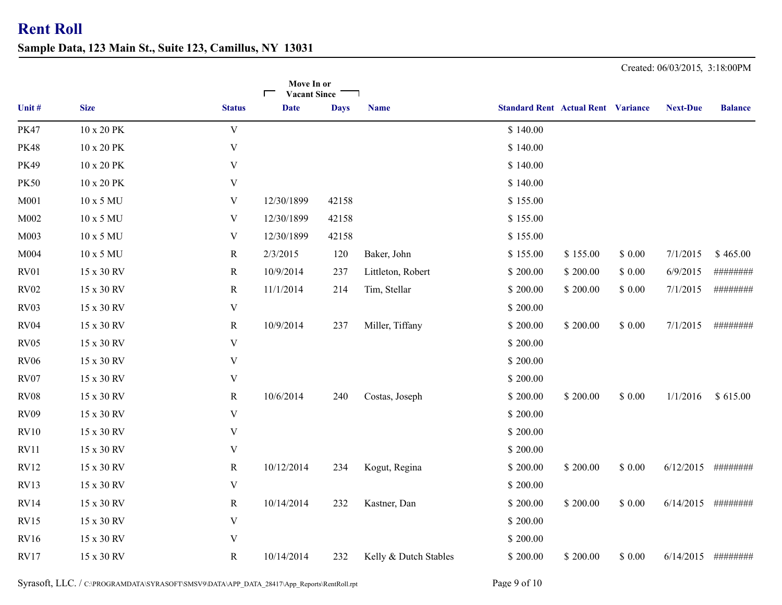**Sample Data, 123 Main St., Suite 123, Camillus, NY 13031**

|             |             |                           | Move In or<br><b>Vacant Since</b> |             |                       |                                           |          |        |                 |                |
|-------------|-------------|---------------------------|-----------------------------------|-------------|-----------------------|-------------------------------------------|----------|--------|-----------------|----------------|
| Unit #      | <b>Size</b> | <b>Status</b>             | <b>Date</b>                       | <b>Days</b> | <b>Name</b>           | <b>Standard Rent Actual Rent Variance</b> |          |        | <b>Next-Due</b> | <b>Balance</b> |
| <b>PK47</b> | 10 x 20 PK  | $\mathbf V$               |                                   |             |                       | \$140.00                                  |          |        |                 |                |
| <b>PK48</b> | 10 x 20 PK  | V                         |                                   |             |                       | \$140.00                                  |          |        |                 |                |
| <b>PK49</b> | 10 x 20 PK  | $\mathbf V$               |                                   |             |                       | \$140.00                                  |          |        |                 |                |
| <b>PK50</b> | 10 x 20 PK  | $\mathbf V$               |                                   |             |                       | \$140.00                                  |          |        |                 |                |
| M001        | 10 x 5 MU   | V                         | 12/30/1899                        | 42158       |                       | \$155.00                                  |          |        |                 |                |
| M002        | 10 x 5 MU   | V                         | 12/30/1899                        | 42158       |                       | \$155.00                                  |          |        |                 |                |
| M003        | 10 x 5 MU   | $\mathbf V$               | 12/30/1899                        | 42158       |                       | \$155.00                                  |          |        |                 |                |
| M004        | 10 x 5 MU   | $\mathbf R$               | 2/3/2015                          | 120         | Baker, John           | \$155.00                                  | \$155.00 | \$0.00 | 7/1/2015        | \$465.00       |
| RV01        | 15 x 30 RV  | $\mathbf R$               | 10/9/2014                         | 237         | Littleton, Robert     | \$200.00                                  | \$200.00 | \$0.00 | 6/9/2015        | ########       |
| <b>RV02</b> | 15 x 30 RV  | $\mathbf R$               | 11/1/2014                         | 214         | Tim, Stellar          | \$200.00                                  | \$200.00 | \$0.00 | 7/1/2015        | ########       |
| RV03        | 15 x 30 RV  | $\mathbf V$               |                                   |             |                       | \$200.00                                  |          |        |                 |                |
| RV04        | 15 x 30 RV  | $\mathbf R$               | 10/9/2014                         | 237         | Miller, Tiffany       | \$200.00                                  | \$200.00 | \$0.00 | 7/1/2015        | ########       |
| <b>RV05</b> | 15 x 30 RV  | $\mathbf V$               |                                   |             |                       | \$200.00                                  |          |        |                 |                |
| <b>RV06</b> | 15 x 30 RV  | $\mathbf V$               |                                   |             |                       | \$200.00                                  |          |        |                 |                |
| <b>RV07</b> | 15 x 30 RV  | $\mathbf V$               |                                   |             |                       | \$200.00                                  |          |        |                 |                |
| <b>RV08</b> | 15 x 30 RV  | $\mathbf R$               | 10/6/2014                         | 240         | Costas, Joseph        | \$200.00                                  | \$200.00 | \$0.00 | 1/1/2016        | \$615.00       |
| <b>RV09</b> | 15 x 30 RV  | $\mathbf V$               |                                   |             |                       | \$200.00                                  |          |        |                 |                |
| RV10        | 15 x 30 RV  | $\ensuremath{\mathbf{V}}$ |                                   |             |                       | \$200.00                                  |          |        |                 |                |
| RV11        | 15 x 30 RV  | $\ensuremath{\mathbf{V}}$ |                                   |             |                       | \$200.00                                  |          |        |                 |                |
| <b>RV12</b> | 15 x 30 RV  | $\mathbf R$               | 10/12/2014                        | 234         | Kogut, Regina         | \$200.00                                  | \$200.00 | \$0.00 | 6/12/2015       | ########       |
| RV13        | 15 x 30 RV  | V                         |                                   |             |                       | \$200.00                                  |          |        |                 |                |
| <b>RV14</b> | 15 x 30 RV  | $\mathbf R$               | 10/14/2014                        | 232         | Kastner, Dan          | \$200.00                                  | \$200.00 | \$0.00 | 6/14/2015       | ########       |
| <b>RV15</b> | 15 x 30 RV  | $\mathbf V$               |                                   |             |                       | \$200.00                                  |          |        |                 |                |
| <b>RV16</b> | 15 x 30 RV  | $\ensuremath{\mathbf{V}}$ |                                   |             |                       | \$200.00                                  |          |        |                 |                |
| <b>RV17</b> | 15 x 30 RV  | $\mathbf R$               | 10/14/2014                        | 232         | Kelly & Dutch Stables | \$200.00                                  | \$200.00 | \$0.00 | 6/14/2015       | ########       |